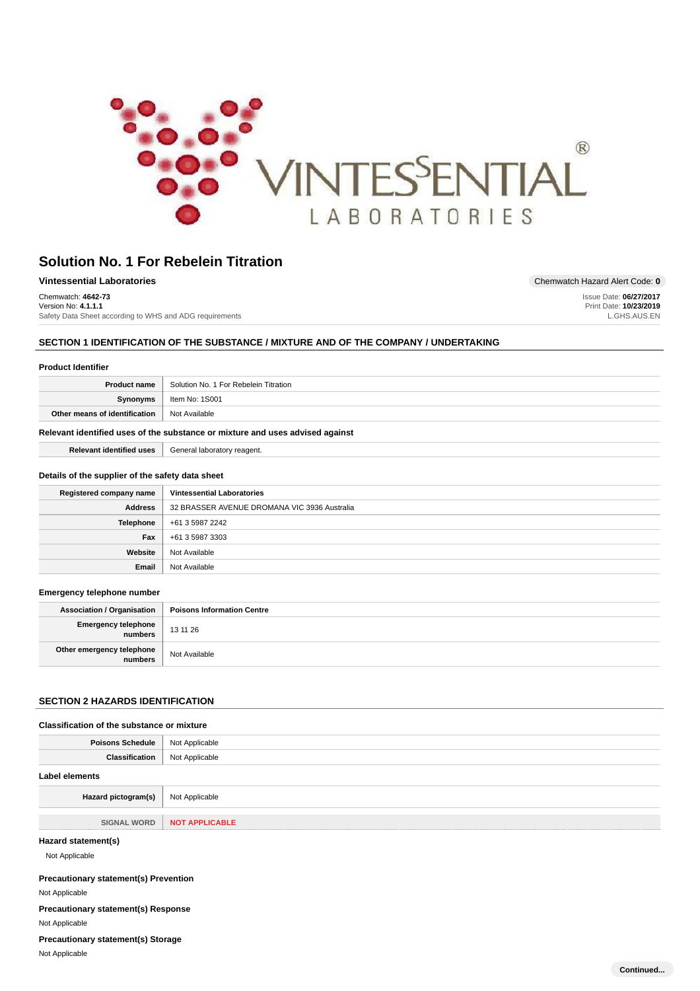

Website Not Available **Email** Not Available

| <b>Vintessential Laboratories</b>                       | Chemwatch Hazard Alert Code: 0 |
|---------------------------------------------------------|--------------------------------|
| Chemwatch: 4642-73                                      | Issue Date: 06/27/2017         |
| Version No: 4.1.1.1                                     | Print Date: 10/23/2019         |
| Safety Data Sheet according to WHS and ADG requirements | L.GHS.AUS.EN                   |

# **SECTION 1 IDENTIFICATION OF THE SUBSTANCE / MIXTURE AND OF THE COMPANY / UNDERTAKING**

| <b>Product Identifier</b>                        |                                                                               |
|--------------------------------------------------|-------------------------------------------------------------------------------|
| <b>Product name</b>                              | Solution No. 1 For Rebelein Titration                                         |
| Synonyms                                         | Item No: 1S001                                                                |
| Other means of identification                    | Not Available                                                                 |
|                                                  | Relevant identified uses of the substance or mixture and uses advised against |
| <b>Relevant identified uses</b>                  | General laboratory reagent.                                                   |
| Details of the supplier of the safety data sheet |                                                                               |
| Registered company name                          | <b>Vintessential Laboratories</b>                                             |
| <b>Address</b>                                   | 32 BRASSER AVENUE DROMANA VIC 3936 Australia                                  |
| <b>Telephone</b>                                 | +61 3 5987 2242                                                               |
| Fax                                              | +61 3 5987 3303                                                               |

#### **Emergency telephone number**

| <b>Association / Organisation</b>    | <b>Poisons Information Centre</b> |
|--------------------------------------|-----------------------------------|
| Emergency telephone<br>numbers       | 13 11 26                          |
| Other emergency telephone<br>numbers | Not Available                     |

# **SECTION 2 HAZARDS IDENTIFICATION**

#### **Classification of the substance or mixture**

| <b>Poisons Schedule</b>               | Not Applicable        |
|---------------------------------------|-----------------------|
| <b>Classification</b>                 | Not Applicable        |
| <b>Label elements</b>                 |                       |
| Hazard pictogram(s)                   | Not Applicable        |
| <b>SIGNAL WORD</b>                    | <b>NOT APPLICABLE</b> |
| Hazard statement(s)<br>Not Applicable |                       |

#### **Precautionary statement(s) Prevention**

Not Applicable

**Precautionary statement(s) Response**

Not Applicable

**Precautionary statement(s) Storage**

Not Applicable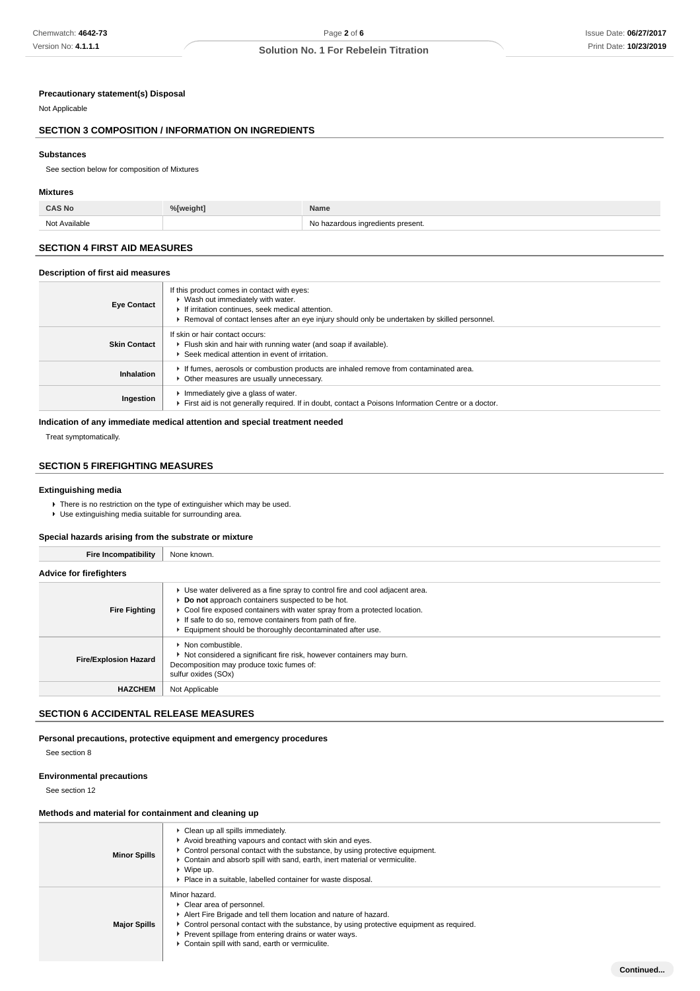**Continued...**

# **Solution No. 1 For Rebelein Titration**

#### **Precautionary statement(s) Disposal**

#### Not Applicable

### **SECTION 3 COMPOSITION / INFORMATION ON INGREDIENTS**

#### **Substances**

See section below for composition of Mixtures

#### **Mixtures**

Not Available Not Available Not Available Not Available Not Available Not Available Not Available Not Available

### **SECTION 4 FIRST AID MEASURES**

#### **Description of first aid measures**

| <b>Eye Contact</b>  | If this product comes in contact with eyes:<br>▶ Wash out immediately with water.<br>If irritation continues, seek medical attention.<br>Removal of contact lenses after an eye injury should only be undertaken by skilled personnel. |
|---------------------|----------------------------------------------------------------------------------------------------------------------------------------------------------------------------------------------------------------------------------------|
| <b>Skin Contact</b> | If skin or hair contact occurs:<br>Flush skin and hair with running water (and soap if available).<br>Seek medical attention in event of irritation.                                                                                   |
| Inhalation          | If fumes, aerosols or combustion products are inhaled remove from contaminated area.<br>• Other measures are usually unnecessary.                                                                                                      |
| Ingestion           | Immediately give a glass of water.<br>First aid is not generally required. If in doubt, contact a Poisons Information Centre or a doctor.                                                                                              |

#### **Indication of any immediate medical attention and special treatment needed**

Treat symptomatically.

#### **SECTION 5 FIREFIGHTING MEASURES**

### **Extinguishing media**

 $\blacktriangleright$  There is no restriction on the type of extinguisher which may be used.

Use extinguishing media suitable for surrounding area.

#### **Special hazards arising from the substrate or mixture**

**Fire Incompatibility** None known.

| Fire incompatiblity            | <b>INOTIC KITOWIT.</b>                                                                                                                                                                                                                                                                                                               |
|--------------------------------|--------------------------------------------------------------------------------------------------------------------------------------------------------------------------------------------------------------------------------------------------------------------------------------------------------------------------------------|
| <b>Advice for firefighters</b> |                                                                                                                                                                                                                                                                                                                                      |
| <b>Fire Fighting</b>           | ► Use water delivered as a fine spray to control fire and cool adjacent area.<br>Do not approach containers suspected to be hot.<br>▶ Cool fire exposed containers with water spray from a protected location.<br>If safe to do so, remove containers from path of fire.<br>Equipment should be thoroughly decontaminated after use. |
| <b>Fire/Explosion Hazard</b>   | $\blacktriangleright$ Non combustible.<br>Not considered a significant fire risk, however containers may burn.<br>Decomposition may produce toxic fumes of:<br>sulfur oxides (SOx)                                                                                                                                                   |
| <b>HAZCHEM</b>                 | Not Applicable                                                                                                                                                                                                                                                                                                                       |

### **SECTION 6 ACCIDENTAL RELEASE MEASURES**

### **Personal precautions, protective equipment and emergency procedures**

See section 8

#### **Environmental precautions**

See section 12

#### **Methods and material for containment and cleaning up**

| <b>Minor Spills</b> | • Clean up all spills immediately.<br>Avoid breathing vapours and contact with skin and eyes.<br>$\triangleright$ Control personal contact with the substance, by using protective equipment.<br>► Contain and absorb spill with sand, earth, inert material or vermiculite.<br>$\triangleright$ Wipe up.<br>▶ Place in a suitable, labelled container for waste disposal. |
|---------------------|----------------------------------------------------------------------------------------------------------------------------------------------------------------------------------------------------------------------------------------------------------------------------------------------------------------------------------------------------------------------------|
| <b>Major Spills</b> | Minor hazard.<br>• Clear area of personnel.<br>Alert Fire Brigade and tell them location and nature of hazard.<br>$\triangleright$ Control personal contact with the substance, by using protective equipment as required.<br>▶ Prevent spillage from entering drains or water ways.<br>Contain spill with sand, earth or vermiculite.                                     |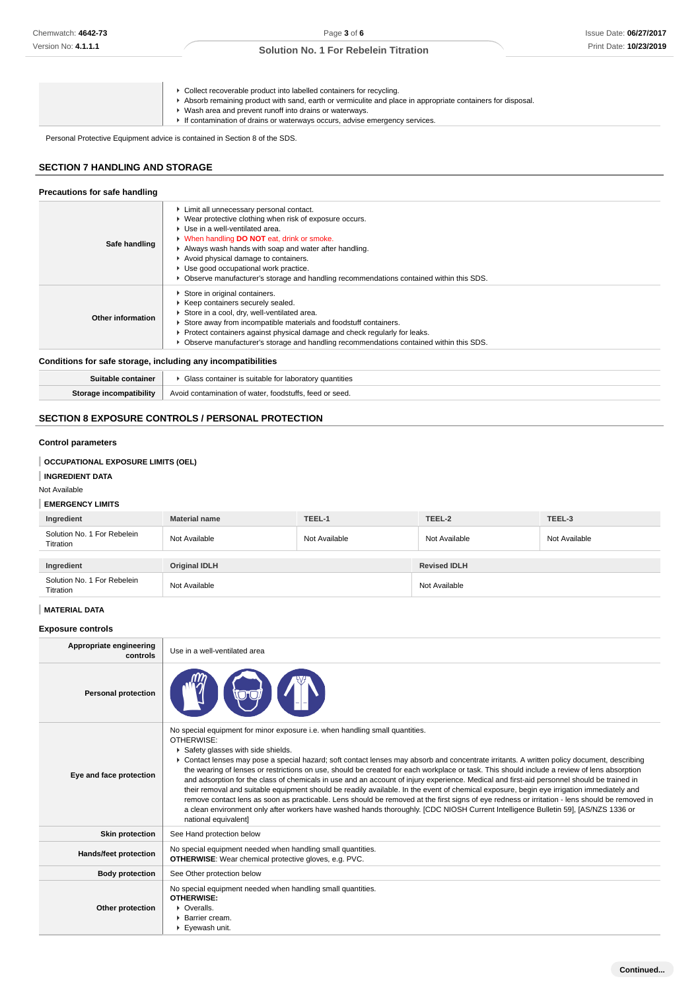| ▶ Collect recoverable product into labelled containers for recycling.<br>Absorb remaining product with sand, earth or vermiculite and place in appropriate containers for disposal.<br>Wash area and prevent runoff into drains or waterways.<br>If contamination of drains or waterways occurs, advise emergency services. |
|-----------------------------------------------------------------------------------------------------------------------------------------------------------------------------------------------------------------------------------------------------------------------------------------------------------------------------|
|-----------------------------------------------------------------------------------------------------------------------------------------------------------------------------------------------------------------------------------------------------------------------------------------------------------------------------|

Personal Protective Equipment advice is contained in Section 8 of the SDS.

# **SECTION 7 HANDLING AND STORAGE**

#### **Precautions for safe handling**

| Limit all unnecessary personal contact.<br>▶ Wear protective clothing when risk of exposure occurs.<br>▶ Use in a well-ventilated area.<br>V When handling DO NOT eat, drink or smoke.<br>Safe handling<br>Always wash hands with soap and water after handling.<br>Avoid physical damage to containers.<br>Use good occupational work practice.<br>▶ Observe manufacturer's storage and handling recommendations contained within this SDS. |                                                                                                                                                                                                                                                                                                                                                                   |  |  |
|----------------------------------------------------------------------------------------------------------------------------------------------------------------------------------------------------------------------------------------------------------------------------------------------------------------------------------------------------------------------------------------------------------------------------------------------|-------------------------------------------------------------------------------------------------------------------------------------------------------------------------------------------------------------------------------------------------------------------------------------------------------------------------------------------------------------------|--|--|
| Other information                                                                                                                                                                                                                                                                                                                                                                                                                            | Store in original containers.<br>▶ Keep containers securely sealed.<br>Store in a cool, dry, well-ventilated area.<br>Store away from incompatible materials and foodstuff containers.<br>► Protect containers against physical damage and check regularly for leaks.<br>▶ Observe manufacturer's storage and handling recommendations contained within this SDS. |  |  |

# **Conditions for safe storage, including any incompatibilities**

| Suitable container      | Glass container is suitable for laboratory quantities   |
|-------------------------|---------------------------------------------------------|
| Storage incompatibility | Avoid contamination of water, foodstuffs, feed or seed. |

# **SECTION 8 EXPOSURE CONTROLS / PERSONAL PROTECTION**

### **Control parameters**

### **OCCUPATIONAL EXPOSURE LIMITS (OEL)**

#### **INGREDIENT DATA**

Not Available

#### **EMERGENCY LIMITS**

| Ingredient                               | <b>Material name</b> | TEEL-1        | TEEL-2              | TEEL-3        |
|------------------------------------------|----------------------|---------------|---------------------|---------------|
| Solution No. 1 For Rebelein<br>Titration | Not Available        | Not Available | Not Available       | Not Available |
|                                          |                      |               |                     |               |
| Ingredient                               | <b>Original IDLH</b> |               | <b>Revised IDLH</b> |               |
| Solution No. 1 For Rebelein<br>Titration | Not Available        |               | Not Available       |               |

# **MATERIAL DATA**

**Exposure controls**

| Appropriate engineering<br>controls | Use in a well-ventilated area                                                                                                                                                                                                                                                                                                                                                                                                                                                                                                                                                                                                                                                                                                                                                                                                                                                                                                                                                                                                            |
|-------------------------------------|------------------------------------------------------------------------------------------------------------------------------------------------------------------------------------------------------------------------------------------------------------------------------------------------------------------------------------------------------------------------------------------------------------------------------------------------------------------------------------------------------------------------------------------------------------------------------------------------------------------------------------------------------------------------------------------------------------------------------------------------------------------------------------------------------------------------------------------------------------------------------------------------------------------------------------------------------------------------------------------------------------------------------------------|
| <b>Personal protection</b>          |                                                                                                                                                                                                                                                                                                                                                                                                                                                                                                                                                                                                                                                                                                                                                                                                                                                                                                                                                                                                                                          |
| Eye and face protection             | No special equipment for minor exposure i.e. when handling small quantities.<br>OTHERWISE:<br>Safety glasses with side shields.<br>▶ Contact lenses may pose a special hazard; soft contact lenses may absorb and concentrate irritants. A written policy document, describing<br>the wearing of lenses or restrictions on use, should be created for each workplace or task. This should include a review of lens absorption<br>and adsorption for the class of chemicals in use and an account of injury experience. Medical and first-aid personnel should be trained in<br>their removal and suitable equipment should be readily available. In the event of chemical exposure, begin eye irrigation immediately and<br>remove contact lens as soon as practicable. Lens should be removed at the first signs of eye redness or irritation - lens should be removed in<br>a clean environment only after workers have washed hands thoroughly. [CDC NIOSH Current Intelligence Bulletin 59], [AS/NZS 1336 or<br>national equivalent] |
| <b>Skin protection</b>              | See Hand protection below                                                                                                                                                                                                                                                                                                                                                                                                                                                                                                                                                                                                                                                                                                                                                                                                                                                                                                                                                                                                                |
| Hands/feet protection               | No special equipment needed when handling small quantities.<br><b>OTHERWISE:</b> Wear chemical protective gloves, e.g. PVC.                                                                                                                                                                                                                                                                                                                                                                                                                                                                                                                                                                                                                                                                                                                                                                                                                                                                                                              |
| <b>Body protection</b>              | See Other protection below                                                                                                                                                                                                                                                                                                                                                                                                                                                                                                                                                                                                                                                                                                                                                                                                                                                                                                                                                                                                               |
| Other protection                    | No special equipment needed when handling small quantities.<br><b>OTHERWISE:</b><br>• Overalls.<br>▶ Barrier cream.<br>Eyewash unit.                                                                                                                                                                                                                                                                                                                                                                                                                                                                                                                                                                                                                                                                                                                                                                                                                                                                                                     |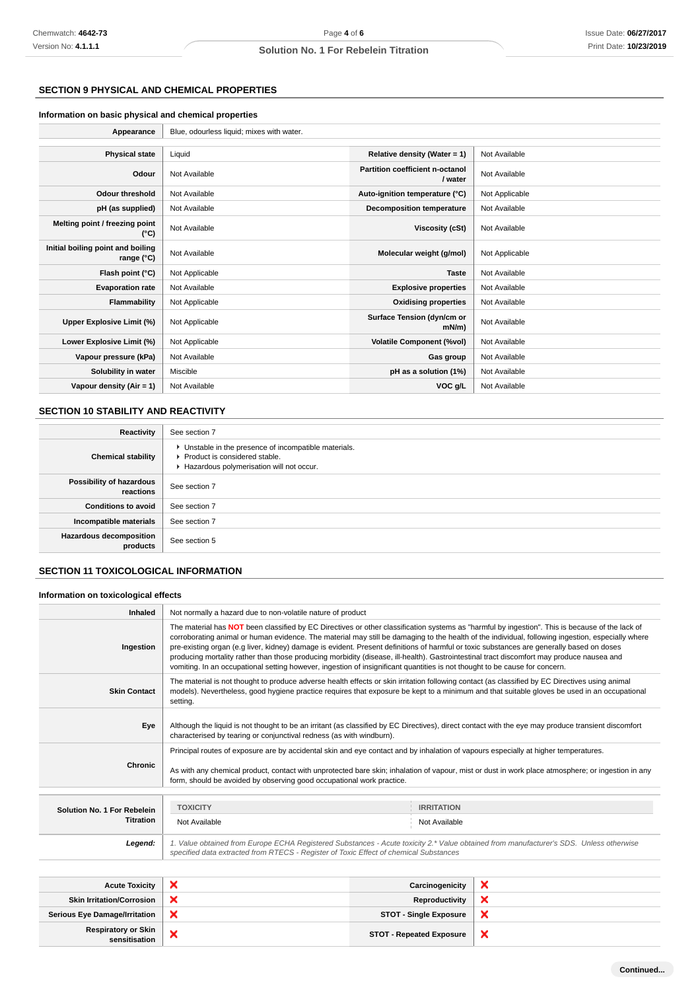# **SECTION 9 PHYSICAL AND CHEMICAL PROPERTIES**

#### **Information on basic physical and chemical properties**

| Appearance                                      | Blue, odourless liquid; mixes with water. |                                            |                |
|-------------------------------------------------|-------------------------------------------|--------------------------------------------|----------------|
|                                                 |                                           |                                            |                |
| <b>Physical state</b>                           | Liquid                                    | Relative density (Water = $1$ )            | Not Available  |
| Odour                                           | Not Available                             | Partition coefficient n-octanol<br>/ water | Not Available  |
| <b>Odour threshold</b>                          | Not Available                             | Auto-ignition temperature (°C)             | Not Applicable |
| pH (as supplied)                                | Not Available                             | Decomposition temperature                  | Not Available  |
| Melting point / freezing point<br>(°C)          | Not Available                             | <b>Viscosity (cSt)</b>                     | Not Available  |
| Initial boiling point and boiling<br>range (°C) | Not Available                             | Molecular weight (g/mol)                   | Not Applicable |
| Flash point (°C)                                | Not Applicable                            | <b>Taste</b>                               | Not Available  |
| <b>Evaporation rate</b>                         | Not Available                             | <b>Explosive properties</b>                | Not Available  |
| Flammability                                    | Not Applicable                            | <b>Oxidising properties</b>                | Not Available  |
| Upper Explosive Limit (%)                       | Not Applicable                            | Surface Tension (dyn/cm or<br>$mN/m$ )     | Not Available  |
| Lower Explosive Limit (%)                       | Not Applicable                            | <b>Volatile Component (%vol)</b>           | Not Available  |
| Vapour pressure (kPa)                           | Not Available                             | Gas group                                  | Not Available  |
| Solubility in water                             | Miscible                                  | pH as a solution (1%)                      | Not Available  |
| Vapour density $(Air = 1)$                      | Not Available                             | VOC g/L                                    | Not Available  |

# **SECTION 10 STABILITY AND REACTIVITY**

L

| Reactivity                                 | See section 7                                                                                                                        |
|--------------------------------------------|--------------------------------------------------------------------------------------------------------------------------------------|
| <b>Chemical stability</b>                  | • Unstable in the presence of incompatible materials.<br>▶ Product is considered stable.<br>Hazardous polymerisation will not occur. |
| Possibility of hazardous<br>reactions      | See section 7                                                                                                                        |
| <b>Conditions to avoid</b>                 | See section 7                                                                                                                        |
| Incompatible materials                     | See section 7                                                                                                                        |
| <b>Hazardous decomposition</b><br>products | See section 5                                                                                                                        |

### **SECTION 11 TOXICOLOGICAL INFORMATION**

### **Information on toxicological effects**

| Inhaled                     | Not normally a hazard due to non-volatile nature of product                                                                                                                                                                                                                                                                                                                                                                                                                                                                                                                                                                                                                                                                   |                   |  |
|-----------------------------|-------------------------------------------------------------------------------------------------------------------------------------------------------------------------------------------------------------------------------------------------------------------------------------------------------------------------------------------------------------------------------------------------------------------------------------------------------------------------------------------------------------------------------------------------------------------------------------------------------------------------------------------------------------------------------------------------------------------------------|-------------------|--|
| Ingestion                   | The material has NOT been classified by EC Directives or other classification systems as "harmful by ingestion". This is because of the lack of<br>corroborating animal or human evidence. The material may still be damaging to the health of the individual, following ingestion, especially where<br>pre-existing organ (e.g liver, kidney) damage is evident. Present definitions of harmful or toxic substances are generally based on doses<br>producing mortality rather than those producing morbidity (disease, ill-health). Gastrointestinal tract discomfort may produce nausea and<br>vomiting. In an occupational setting however, ingestion of insignificant quantities is not thought to be cause for concern. |                   |  |
| <b>Skin Contact</b>         | The material is not thought to produce adverse health effects or skin irritation following contact (as classified by EC Directives using animal<br>models). Nevertheless, good hygiene practice requires that exposure be kept to a minimum and that suitable gloves be used in an occupational<br>setting.                                                                                                                                                                                                                                                                                                                                                                                                                   |                   |  |
| Eye                         | Although the liquid is not thought to be an irritant (as classified by EC Directives), direct contact with the eye may produce transient discomfort<br>characterised by tearing or conjunctival redness (as with windburn).                                                                                                                                                                                                                                                                                                                                                                                                                                                                                                   |                   |  |
| Chronic                     | Principal routes of exposure are by accidental skin and eye contact and by inhalation of vapours especially at higher temperatures.<br>As with any chemical product, contact with unprotected bare skin; inhalation of vapour, mist or dust in work place atmosphere; or ingestion in any<br>form, should be avoided by observing good occupational work practice.                                                                                                                                                                                                                                                                                                                                                            |                   |  |
|                             |                                                                                                                                                                                                                                                                                                                                                                                                                                                                                                                                                                                                                                                                                                                               |                   |  |
| Solution No. 1 For Rebelein | <b>TOXICITY</b>                                                                                                                                                                                                                                                                                                                                                                                                                                                                                                                                                                                                                                                                                                               | <b>IRRITATION</b> |  |
| Titration                   | Not Available                                                                                                                                                                                                                                                                                                                                                                                                                                                                                                                                                                                                                                                                                                                 | Not Available     |  |
| Legend:                     | 1. Value obtained from Europe ECHA Registered Substances - Acute toxicity 2.* Value obtained from manufacturer's SDS. Unless otherwise<br>specified data extracted from RTECS - Register of Toxic Effect of chemical Substances                                                                                                                                                                                                                                                                                                                                                                                                                                                                                               |                   |  |

| <b>Acute Toxicity</b>                |                       | Carcinogenicity                 |   |
|--------------------------------------|-----------------------|---------------------------------|---|
| <b>Skin Irritation/Corrosion</b>     |                       | Reproductivity                  |   |
| <b>Serious Eye Damage/Irritation</b> | ×                     | <b>STOT - Single Exposure</b>   |   |
| Respiratory or Skin<br>sensitisation | $\tilde{\phantom{a}}$ | <b>STOT - Repeated Exposure</b> | ́ |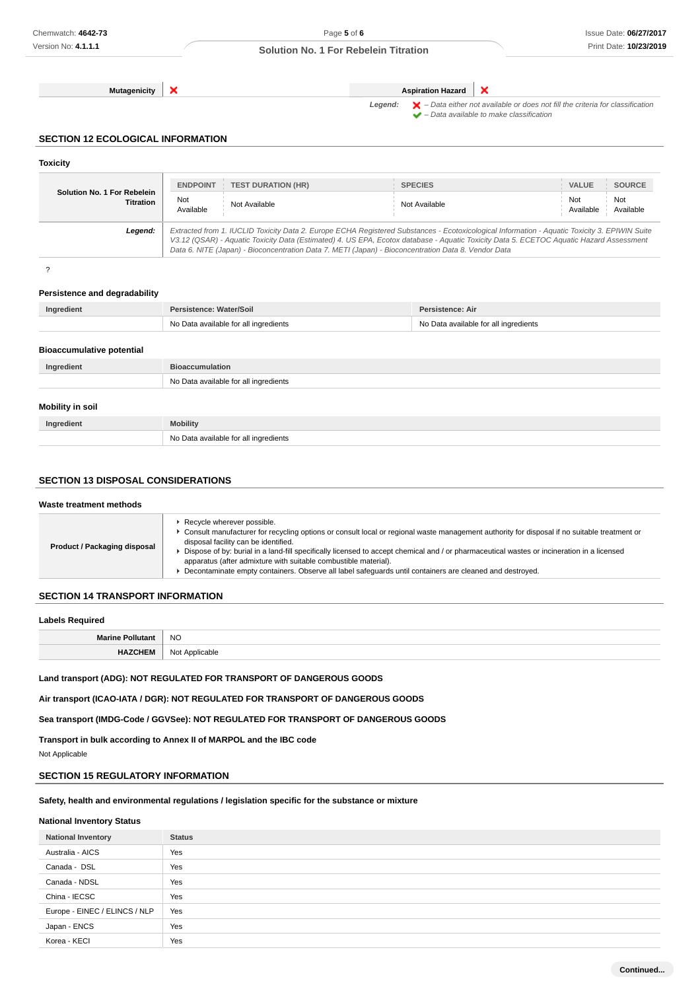**Mutagenicity X Aspiration Hazard** 

×

Legend:  $\blacktriangleright$  - Data either not available or does not fill the criteria for classification  $\blacktriangleright$  – Data available to make classification

### **SECTION 12 ECOLOGICAL INFORMATION**

| <b>Toxicity</b>                                      |                                                                                                                                                                                                                                                                                                                                                                                                 |                                       |                  |                  |
|------------------------------------------------------|-------------------------------------------------------------------------------------------------------------------------------------------------------------------------------------------------------------------------------------------------------------------------------------------------------------------------------------------------------------------------------------------------|---------------------------------------|------------------|------------------|
|                                                      | <b>ENDPOINT</b><br><b>TEST DURATION (HR)</b>                                                                                                                                                                                                                                                                                                                                                    | <b>SPECIES</b>                        | <b>VALUE</b>     | <b>SOURCE</b>    |
| Solution No. 1 For Rebelein<br><b>Titration</b>      | Not<br>Not Available<br>Available                                                                                                                                                                                                                                                                                                                                                               | Not Available                         | Not<br>Available | Not<br>Available |
| Legend:                                              | Extracted from 1. IUCLID Toxicity Data 2. Europe ECHA Registered Substances - Ecotoxicological Information - Aquatic Toxicity 3. EPIWIN Suite<br>V3.12 (QSAR) - Aquatic Toxicity Data (Estimated) 4. US EPA, Ecotox database - Aquatic Toxicity Data 5. ECETOC Aquatic Hazard Assessment<br>Data 6. NITE (Japan) - Bioconcentration Data 7. METI (Japan) - Bioconcentration Data 8. Vendor Data |                                       |                  |                  |
| ?                                                    |                                                                                                                                                                                                                                                                                                                                                                                                 |                                       |                  |                  |
| Persistence and degradability                        |                                                                                                                                                                                                                                                                                                                                                                                                 |                                       |                  |                  |
| Ingredient                                           | Persistence: Water/Soil                                                                                                                                                                                                                                                                                                                                                                         | Persistence: Air                      |                  |                  |
|                                                      | No Data available for all ingredients                                                                                                                                                                                                                                                                                                                                                           | No Data available for all ingredients |                  |                  |
|                                                      |                                                                                                                                                                                                                                                                                                                                                                                                 |                                       |                  |                  |
|                                                      |                                                                                                                                                                                                                                                                                                                                                                                                 |                                       |                  |                  |
| Ingredient                                           | <b>Bioaccumulation</b>                                                                                                                                                                                                                                                                                                                                                                          |                                       |                  |                  |
|                                                      | No Data available for all ingredients                                                                                                                                                                                                                                                                                                                                                           |                                       |                  |                  |
| <b>Bioaccumulative potential</b><br>Mobility in soil |                                                                                                                                                                                                                                                                                                                                                                                                 |                                       |                  |                  |
| Ingredient                                           | <b>Mobility</b>                                                                                                                                                                                                                                                                                                                                                                                 |                                       |                  |                  |

## **SECTION 13 DISPOSAL CONSIDERATIONS**

#### **Waste treatment methods Product / Packaging disposal** Recycle wherever possible. Consult manufacturer for recycling options or consult local or regional waste management authority for disposal if no suitable treatment or disposal facility can be identified. Dispose of by: burial in a land-fill specifically licensed to accept chemical and / or pharmaceutical wastes or incineration in a licensed apparatus (after admixture with suitable combustible material). ▶ Decontaminate empty containers. Observe all label safeguards until containers are cleaned and destroyed.

# **SECTION 14 TRANSPORT INFORMATION**

#### **Labels Required**

| <b>Marine Pollutant</b> | <b>NO</b>      |
|-------------------------|----------------|
| <b>HAZCHEM</b>          | Not Applicable |

#### **Land transport (ADG): NOT REGULATED FOR TRANSPORT OF DANGEROUS GOODS**

**Air transport (ICAO-IATA / DGR): NOT REGULATED FOR TRANSPORT OF DANGEROUS GOODS**

**Sea transport (IMDG-Code / GGVSee): NOT REGULATED FOR TRANSPORT OF DANGEROUS GOODS**

**Transport in bulk according to Annex II of MARPOL and the IBC code**

Not Applicable

# **SECTION 15 REGULATORY INFORMATION**

#### **Safety, health and environmental regulations / legislation specific for the substance or mixture**

### **National Inventory Status**

| <b>National Inventory</b>     | <b>Status</b> |
|-------------------------------|---------------|
| Australia - AICS              | Yes           |
| Canada - DSL                  | Yes           |
| Canada - NDSL                 | Yes           |
| China - IECSC                 | Yes           |
| Europe - EINEC / ELINCS / NLP | Yes           |
| Japan - ENCS                  | Yes           |
| Korea - KECI                  | Yes           |